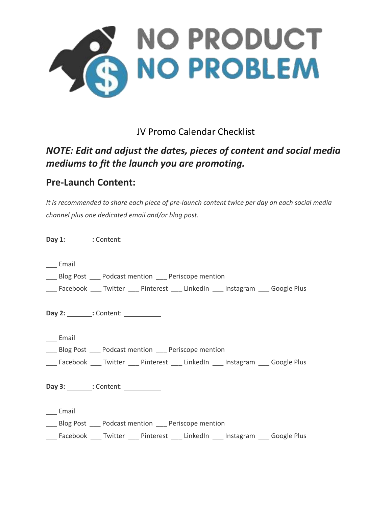

JV Promo Calendar Checklist

## *NOTE: Edit and adjust the dates, pieces of content and social media mediums to fit the launch you are promoting.*

## **Pre-Launch Content:**

*It is recommended to share each piece of pre-launch content twice per day on each social media channel plus one dedicated email and/or blog post.*

**Day 1: :** Content: **1999** 

\_\_\_ Email

Blog Post Podcast mention Periscope mention

Facebook Twitter Pinterest LinkedIn Instagram Google Plus

**Day 2: :** Content:

\_\_\_ Email

\_\_\_ Blog Post \_\_\_ Podcast mention \_\_\_ Periscope mention

\_\_\_ Facebook \_\_\_ Twitter \_\_\_ Pinterest \_\_\_ LinkedIn \_\_\_ Instagram \_\_\_ Google Plus

**Day 3: :** Content: **1999** 

\_\_\_ Email

Blog Post Podcast mention Periscope mention

\_\_\_ Facebook \_\_\_ Twitter \_\_\_ Pinterest \_\_\_ LinkedIn \_\_\_ Instagram \_\_\_ Google Plus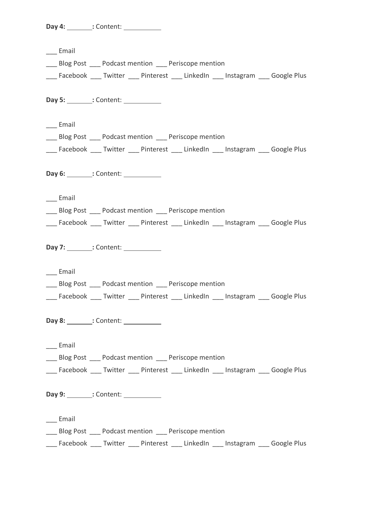**Day 4:** \_\_\_\_\_\_\_: Content: \_\_\_\_\_\_\_\_\_\_\_\_

\_\_\_ Email \_\_\_ Blog Post \_\_\_ Podcast mention \_\_\_ Periscope mention \_\_\_ Facebook \_\_\_ Twitter \_\_\_ Pinterest \_\_\_ LinkedIn \_\_\_ Instagram \_\_\_ Google Plus **Day 5: :** Content: \_\_\_ Email \_\_\_ Blog Post \_\_\_ Podcast mention \_\_\_ Periscope mention Facebook Twitter Pinterest LinkedIn Instagram Google Plus **Day 6: :** Content: \_\_\_ Email Blog Post Podcast mention Periscope mention Facebook Twitter Pinterest LinkedIn Instagram Google Plus **Day 7: :** Content: \_\_\_ Email Blog Post Podcast mention Periscope mention Facebook Twitter Pinterest LinkedIn Instagram Google Plus **Day 8: :** Content: **1999** \_\_\_ Email \_\_\_ Blog Post \_\_\_ Podcast mention \_\_\_ Periscope mention \_\_\_ Facebook \_\_\_ Twitter \_\_\_ Pinterest \_\_\_ LinkedIn \_\_\_ Instagram \_\_\_ Google Plus **Day 9: :** Content: \_\_\_ Email Blog Post Podcast mention Periscope mention \_\_\_ Facebook \_\_\_ Twitter \_\_\_ Pinterest \_\_\_ LinkedIn \_\_\_ Instagram \_\_\_ Google Plus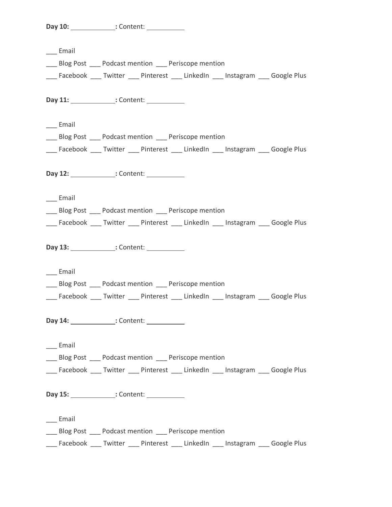**Day 10: :** Content:

\_\_\_ Email \_\_\_ Blog Post \_\_\_ Podcast mention \_\_\_ Periscope mention \_\_\_ Facebook \_\_\_ Twitter \_\_\_ Pinterest \_\_\_ LinkedIn \_\_\_ Instagram \_\_\_ Google Plus **Day 11: :** Content: **11: :** Content: \_\_\_ Email \_\_\_ Blog Post \_\_\_ Podcast mention \_\_\_ Periscope mention Facebook Twitter Pinterest LinkedIn Instagram Google Plus **Day 12: :** Content: \_\_\_ Email Blog Post Podcast mention Periscope mention Facebook Twitter Pinterest LinkedIn Instagram Google Plus **Day 13: :** Content: \_\_\_ Email Blog Post Podcast mention Periscope mention Facebook \_\_\_ Twitter \_\_\_ Pinterest \_\_\_ LinkedIn \_\_\_ Instagram \_\_\_ Google Plus **Day 14: :** Content: \_\_\_ Email \_\_\_ Blog Post \_\_\_ Podcast mention \_\_\_ Periscope mention \_\_\_ Facebook \_\_\_ Twitter \_\_\_ Pinterest \_\_\_ LinkedIn \_\_\_ Instagram \_\_\_ Google Plus **Day 15: :** Content: \_\_\_ Email Blog Post Podcast mention Periscope mention \_\_\_ Facebook \_\_\_ Twitter \_\_\_ Pinterest \_\_\_ LinkedIn \_\_\_ Instagram \_\_\_ Google Plus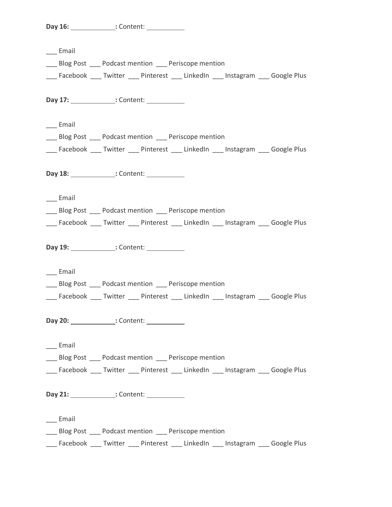**Day 16: :** Content:

\_\_\_ Email \_\_\_ Blog Post \_\_\_ Podcast mention \_\_\_ Periscope mention \_\_\_ Facebook \_\_\_ Twitter \_\_\_ Pinterest \_\_\_ LinkedIn \_\_\_ Instagram \_\_\_ Google Plus **Day 17: :** Content: **17: :** Content: \_\_\_ Email \_\_\_ Blog Post \_\_\_ Podcast mention \_\_\_ Periscope mention Facebook Twitter Pinterest LinkedIn Instagram Google Plus **Day 18: :** Content: \_\_\_ Email Blog Post Podcast mention Periscope mention Facebook Twitter Pinterest LinkedIn Instagram Google Plus **Day 19: :** Content: \_\_\_ Email Blog Post Podcast mention Periscope mention Facebook Twitter Pinterest LinkedIn Instagram Google Plus **Day 20: :** Content: \_\_\_ Email \_\_\_ Blog Post \_\_\_ Podcast mention \_\_\_ Periscope mention \_\_\_ Facebook \_\_\_ Twitter \_\_\_ Pinterest \_\_\_ LinkedIn \_\_\_ Instagram \_\_\_ Google Plus **Day 21: :** Content: \_\_\_ Email Blog Post Podcast mention Periscope mention \_\_\_ Facebook \_\_\_ Twitter \_\_\_ Pinterest \_\_\_ LinkedIn \_\_\_ Instagram \_\_\_ Google Plus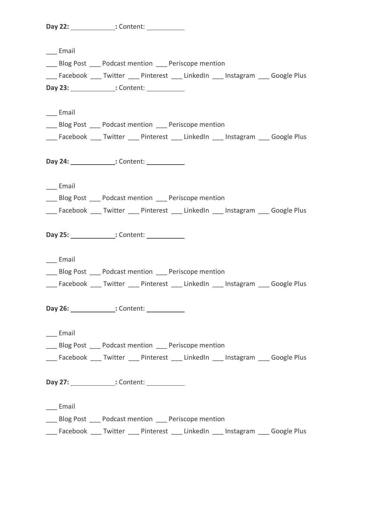**Day 22: :** Content:

| __ Email            |                                                                                   |
|---------------------|-----------------------------------------------------------------------------------|
|                     | __ Blog Post __ Podcast mention __ Periscope mention                              |
|                     | __ Facebook __ Twitter __ Pinterest __ LinkedIn __ Instagram __ Google Plus       |
|                     | Day 23: ______________: Content: ___________                                      |
|                     |                                                                                   |
| ___ Email           |                                                                                   |
|                     | __ Blog Post __ Podcast mention __ Periscope mention                              |
|                     | ___ Facebook ___ Twitter ___ Pinterest ___ LinkedIn ___ Instagram ___ Google Plus |
|                     | Day 24: ______________: Content: ___________                                      |
| $\_\_$ Email        |                                                                                   |
|                     | __ Blog Post __ Podcast mention __ Periscope mention                              |
|                     | __ Facebook __ Twitter __ Pinterest __ LinkedIn __ Instagram __ Google Plus       |
|                     | Day 25: ______________: Content: ___________                                      |
| $\_\_$ Email        |                                                                                   |
|                     | __ Blog Post __ Podcast mention __ Periscope mention                              |
|                     | __ Facebook __ Twitter __ Pinterest __ LinkedIn __ Instagram __ Google Plus       |
|                     | Day 26: ______________: Content: ___________                                      |
| $\_\_$ Email        |                                                                                   |
|                     | Blog Post Podcast mention Periscope mention                                       |
|                     | ___ Facebook ___ Twitter ___ Pinterest ___ LinkedIn ___ Instagram ___ Google Plus |
|                     | Day 27: ______________: Content: ___________                                      |
| $\frac{1}{2}$ Email |                                                                                   |
|                     | ___ Blog Post ___ Podcast mention ___ Periscope mention                           |
|                     | ___ Facebook ___ Twitter ___ Pinterest ___ LinkedIn ___ Instagram ___ Google Plus |